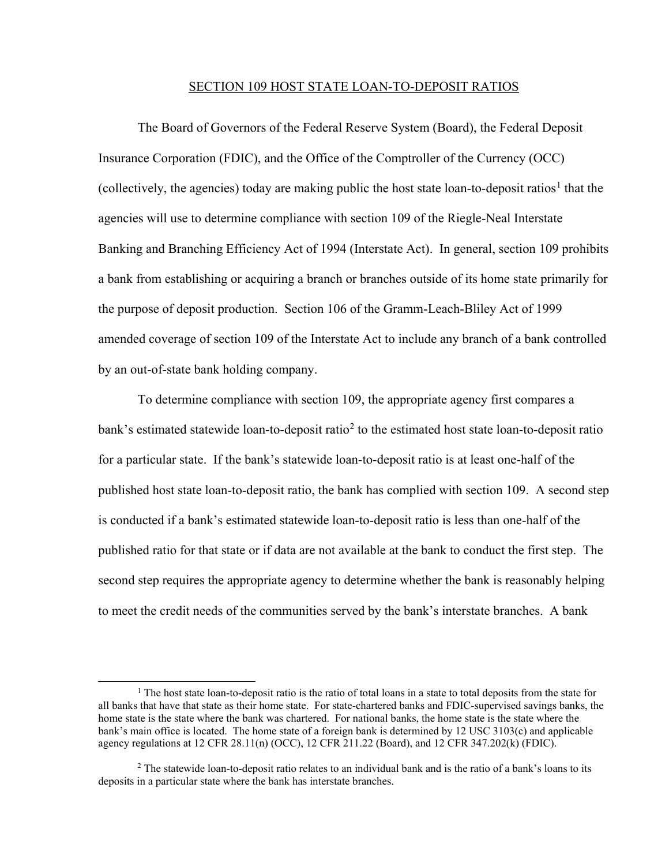## SECTION 109 HOST STATE LOAN-TO-DEPOSIT RATIOS

 Insurance Corporation (FDIC), and the Office of the Comptroller of the Currency (OCC) a bank from establishing or acquiring a branch or branches outside of its home state primarily for The Board of Governors of the Federal Reserve System (Board), the Federal Deposit (collectively, the agencies) today are making public the host state loan-to-deposit ratios<sup>1</sup> that the agencies will use to determine compliance with section 109 of the Riegle-Neal Interstate Banking and Branching Efficiency Act of 1994 (Interstate Act). In general, section 109 prohibits the purpose of deposit production. Section 106 of the Gramm-Leach-Bliley Act of 1999 amended coverage of section 109 of the Interstate Act to include any branch of a bank controlled by an out-of-state bank holding company.

 for a particular state. If the bank's statewide loan-to-deposit ratio is at least one-half of the second step requires the appropriate agency to determine whether the bank is reasonably helping To determine compliance with section 109, the appropriate agency first compares a bank's estimated statewide loan-to-deposit ratio<sup>2</sup> to the estimated host state loan-to-deposit ratio published host state loan-to-deposit ratio, the bank has complied with section 109. A second step is conducted if a bank's estimated statewide loan-to-deposit ratio is less than one-half of the published ratio for that state or if data are not available at the bank to conduct the first step. The to meet the credit needs of the communities served by the bank's interstate branches. A bank

 $\overline{a}$ 

 $1$  The host state loan-to-deposit ratio is the ratio of total loans in a state to total deposits from the state for all banks that have that state as their home state. For state-chartered banks and FDIC-supervised savings banks, the home state is the state where the bank was chartered. For national banks, the home state is the state where the bank's main office is located. The home state of a foreign bank is determined by 12 USC 3103(c) and applicable agency regulations at 12 CFR 28.11(n) (OCC), 12 CFR 211.22 (Board), and 12 CFR 347.202(k) (FDIC).

 $2$  The statewide loan-to-deposit ratio relates to an individual bank and is the ratio of a bank's loans to its deposits in a particular state where the bank has interstate branches.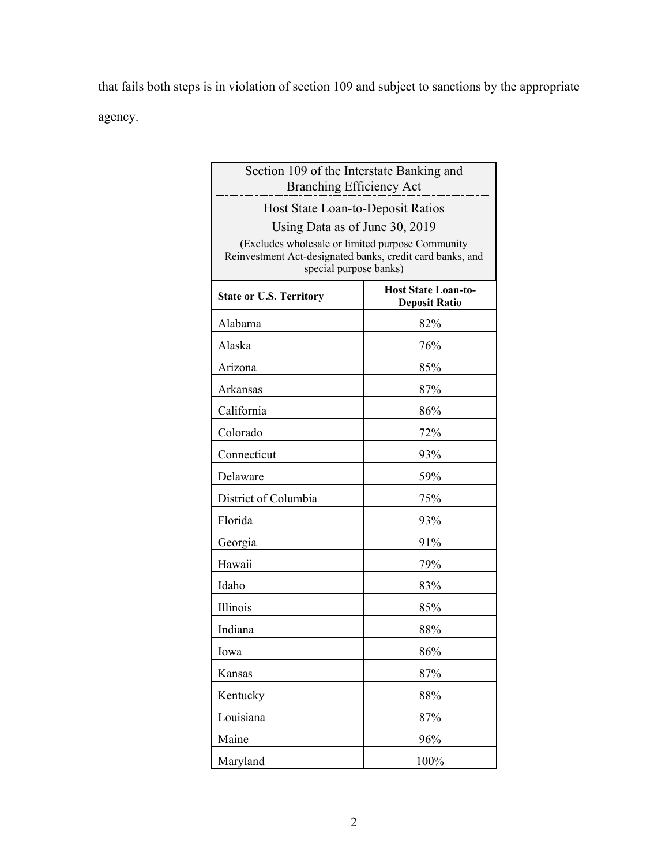that fails both steps is in violation of section 109 and subject to sanctions by the appropriate agency.

| Section 109 of the Interstate Banking and                                                                                                                                 |                                                    |  |
|---------------------------------------------------------------------------------------------------------------------------------------------------------------------------|----------------------------------------------------|--|
| <b>Branching Efficiency Act</b>                                                                                                                                           |                                                    |  |
| Host State Loan-to-Deposit Ratios                                                                                                                                         |                                                    |  |
| Using Data as of June 30, 2019<br>(Excludes wholesale or limited purpose Community<br>Reinvestment Act-designated banks, credit card banks, and<br>special purpose banks) |                                                    |  |
| <b>State or U.S. Territory</b>                                                                                                                                            | <b>Host State Loan-to-</b><br><b>Deposit Ratio</b> |  |
| Alabama                                                                                                                                                                   | 82%                                                |  |
| Alaska                                                                                                                                                                    | 76%                                                |  |
| Arizona                                                                                                                                                                   | 85%                                                |  |
| Arkansas                                                                                                                                                                  | 87%                                                |  |
| California                                                                                                                                                                | 86%                                                |  |
| Colorado                                                                                                                                                                  | 72%                                                |  |
| Connecticut                                                                                                                                                               | 93%                                                |  |
| Delaware                                                                                                                                                                  | 59%                                                |  |
| District of Columbia                                                                                                                                                      | 75%                                                |  |
| Florida                                                                                                                                                                   | 93%                                                |  |
| Georgia                                                                                                                                                                   | 91%                                                |  |
| Hawaii                                                                                                                                                                    | 79%                                                |  |
| Idaho                                                                                                                                                                     | 83%                                                |  |
| Illinois                                                                                                                                                                  | 85%                                                |  |
| Indiana                                                                                                                                                                   | 88%                                                |  |
| Iowa                                                                                                                                                                      | 86%                                                |  |
| Kansas                                                                                                                                                                    | 87%                                                |  |
| Kentucky                                                                                                                                                                  | 88%                                                |  |
| Louisiana                                                                                                                                                                 | 87%                                                |  |
| Maine                                                                                                                                                                     | 96%                                                |  |
| Maryland                                                                                                                                                                  | 100%                                               |  |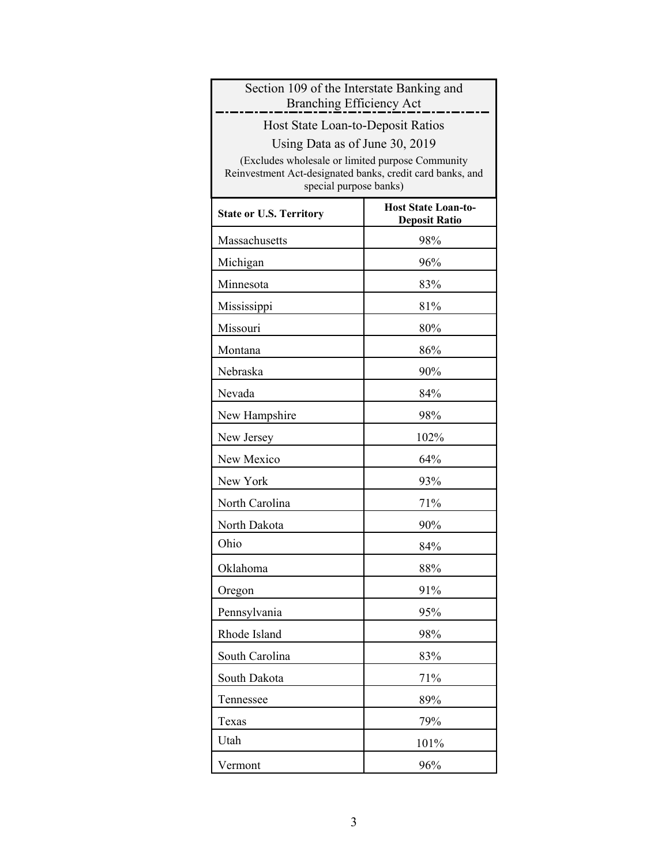| Section 109 of the Interstate Banking and<br><b>Branching Efficiency Act</b>                                                            |                                                    |
|-----------------------------------------------------------------------------------------------------------------------------------------|----------------------------------------------------|
| Host State Loan-to-Deposit Ratios                                                                                                       |                                                    |
| Using Data as of June 30, 2019                                                                                                          |                                                    |
| (Excludes wholesale or limited purpose Community<br>Reinvestment Act-designated banks, credit card banks, and<br>special purpose banks) |                                                    |
| <b>State or U.S. Territory</b>                                                                                                          | <b>Host State Loan-to-</b><br><b>Deposit Ratio</b> |
| Massachusetts                                                                                                                           | 98%                                                |
| Michigan                                                                                                                                | 96%                                                |
| Minnesota                                                                                                                               | 83%                                                |
| Mississippi                                                                                                                             | 81%                                                |
| Missouri                                                                                                                                | 80%                                                |
| Montana                                                                                                                                 | 86%                                                |
| Nebraska                                                                                                                                | 90%                                                |
| Nevada                                                                                                                                  | 84%                                                |
| New Hampshire                                                                                                                           | 98%                                                |
| New Jersey                                                                                                                              | 102%                                               |
| New Mexico                                                                                                                              | 64%                                                |
| New York                                                                                                                                | 93%                                                |
| North Carolina                                                                                                                          | 71%                                                |
| North Dakota                                                                                                                            | 90%                                                |
| Ohio                                                                                                                                    | 84%                                                |
| Oklahoma                                                                                                                                | 88%                                                |
| Oregon                                                                                                                                  | 91%                                                |
| Pennsylvania                                                                                                                            | 95%                                                |
| Rhode Island                                                                                                                            | 98%                                                |
| South Carolina                                                                                                                          | 83%                                                |
| South Dakota                                                                                                                            | 71%                                                |
| Tennessee                                                                                                                               | 89%                                                |
| Texas                                                                                                                                   | 79%                                                |
| Utah                                                                                                                                    | 101%                                               |
| Vermont                                                                                                                                 | 96%                                                |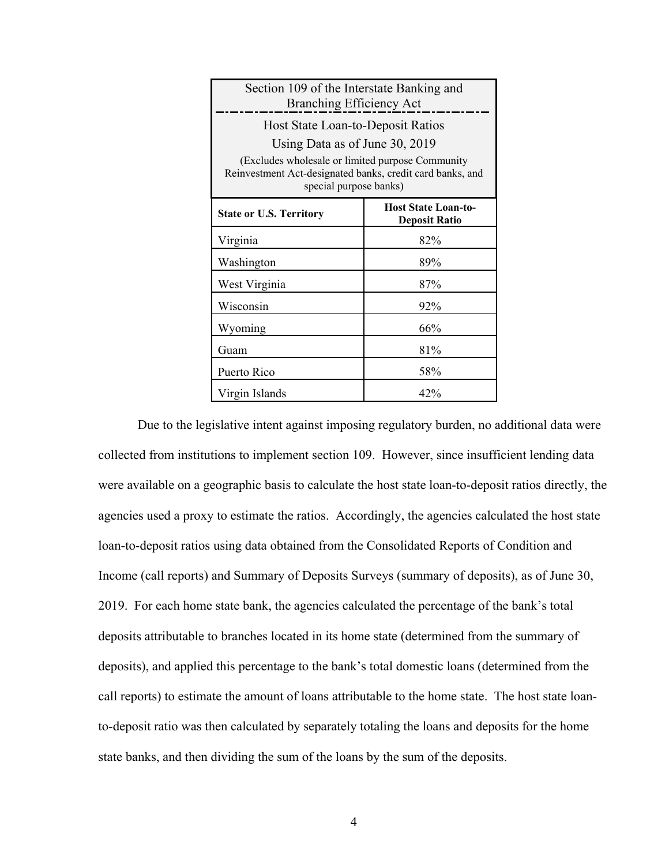| Section 109 of the Interstate Banking and<br><b>Branching Efficiency Act</b>                                                             |                                                    |  |
|------------------------------------------------------------------------------------------------------------------------------------------|----------------------------------------------------|--|
| Host State Loan-to-Deposit Ratios                                                                                                        |                                                    |  |
| Using Data as of June 30, 2019                                                                                                           |                                                    |  |
| (Excludes wholesale or limited purpose Community)<br>Reinvestment Act-designated banks, credit card banks, and<br>special purpose banks) |                                                    |  |
| <b>State or U.S. Territory</b>                                                                                                           | <b>Host State Loan-to-</b><br><b>Deposit Ratio</b> |  |
| Virginia                                                                                                                                 | 82%                                                |  |
| Washington                                                                                                                               | 89%                                                |  |
| West Virginia                                                                                                                            | 87%                                                |  |
| Wisconsin                                                                                                                                | 92%                                                |  |
| Wyoming                                                                                                                                  | 66%                                                |  |
| Guam                                                                                                                                     | 81%                                                |  |
| Puerto Rico                                                                                                                              | 58%                                                |  |
| Virgin Islands                                                                                                                           | 42%                                                |  |

 deposits), and applied this percentage to the bank's total domestic loans (determined from the call reports) to estimate the amount of loans attributable to the home state. The host state loan-Due to the legislative intent against imposing regulatory burden, no additional data were collected from institutions to implement section 109. However, since insufficient lending data were available on a geographic basis to calculate the host state loan-to-deposit ratios directly, the agencies used a proxy to estimate the ratios. Accordingly, the agencies calculated the host state loan-to-deposit ratios using data obtained from the Consolidated Reports of Condition and Income (call reports) and Summary of Deposits Surveys (summary of deposits), as of June 30, 2019. For each home state bank, the agencies calculated the percentage of the bank's total deposits attributable to branches located in its home state (determined from the summary of to-deposit ratio was then calculated by separately totaling the loans and deposits for the home state banks, and then dividing the sum of the loans by the sum of the deposits.